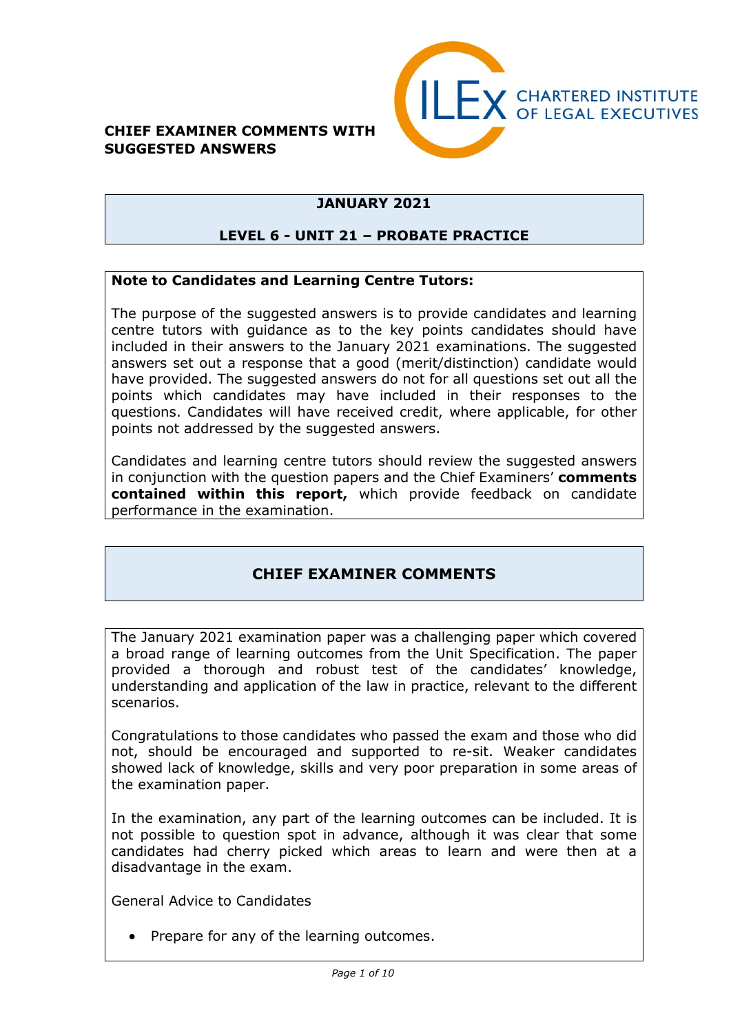#### **CHIEF EXAMINER COMMENTS WITH SUGGESTED ANSWERS**



### **JANUARY 2021**

#### **LEVEL 6 - UNIT 21 – PROBATE PRACTICE**

#### **Note to Candidates and Learning Centre Tutors:**

The purpose of the suggested answers is to provide candidates and learning centre tutors with guidance as to the key points candidates should have included in their answers to the January 2021 examinations. The suggested answers set out a response that a good (merit/distinction) candidate would have provided. The suggested answers do not for all questions set out all the points which candidates may have included in their responses to the questions. Candidates will have received credit, where applicable, for other points not addressed by the suggested answers.

Candidates and learning centre tutors should review the suggested answers in conjunction with the question papers and the Chief Examiners' **comments contained within this report,** which provide feedback on candidate performance in the examination.

### **CHIEF EXAMINER COMMENTS**

The January 2021 examination paper was a challenging paper which covered a broad range of learning outcomes from the Unit Specification. The paper provided a thorough and robust test of the candidates' knowledge, understanding and application of the law in practice, relevant to the different scenarios.

Congratulations to those candidates who passed the exam and those who did not, should be encouraged and supported to re-sit. Weaker candidates showed lack of knowledge, skills and very poor preparation in some areas of the examination paper.

In the examination, any part of the learning outcomes can be included. It is not possible to question spot in advance, although it was clear that some candidates had cherry picked which areas to learn and were then at a disadvantage in the exam.

General Advice to Candidates

• Prepare for any of the learning outcomes.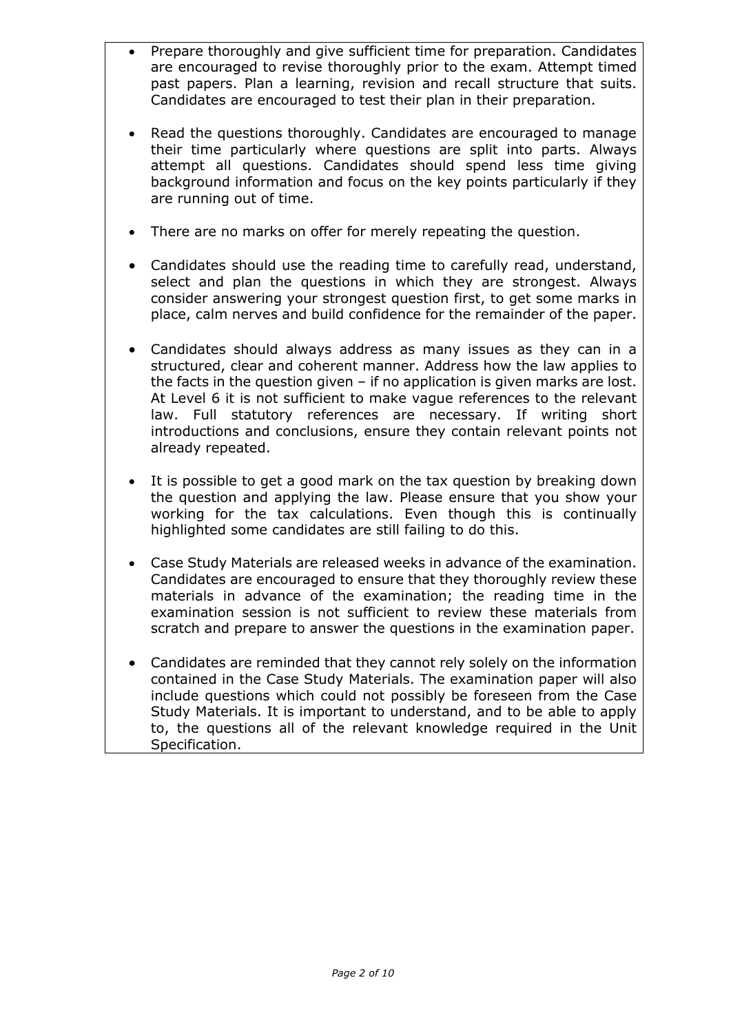- Prepare thoroughly and give sufficient time for preparation. Candidates are encouraged to revise thoroughly prior to the exam. Attempt timed past papers. Plan a learning, revision and recall structure that suits. Candidates are encouraged to test their plan in their preparation.
- Read the questions thoroughly. Candidates are encouraged to manage their time particularly where questions are split into parts. Always attempt all questions. Candidates should spend less time giving background information and focus on the key points particularly if they are running out of time.
- There are no marks on offer for merely repeating the question.
- Candidates should use the reading time to carefully read, understand, select and plan the questions in which they are strongest. Always consider answering your strongest question first, to get some marks in place, calm nerves and build confidence for the remainder of the paper.
- Candidates should always address as many issues as they can in a structured, clear and coherent manner. Address how the law applies to the facts in the question given – if no application is given marks are lost. At Level 6 it is not sufficient to make vague references to the relevant law. Full statutory references are necessary. If writing short introductions and conclusions, ensure they contain relevant points not already repeated.
- It is possible to get a good mark on the tax question by breaking down the question and applying the law. Please ensure that you show your working for the tax calculations. Even though this is continually highlighted some candidates are still failing to do this.
- Case Study Materials are released weeks in advance of the examination. Candidates are encouraged to ensure that they thoroughly review these materials in advance of the examination; the reading time in the examination session is not sufficient to review these materials from scratch and prepare to answer the questions in the examination paper.
- Candidates are reminded that they cannot rely solely on the information contained in the Case Study Materials. The examination paper will also include questions which could not possibly be foreseen from the Case Study Materials. It is important to understand, and to be able to apply to, the questions all of the relevant knowledge required in the Unit Specification.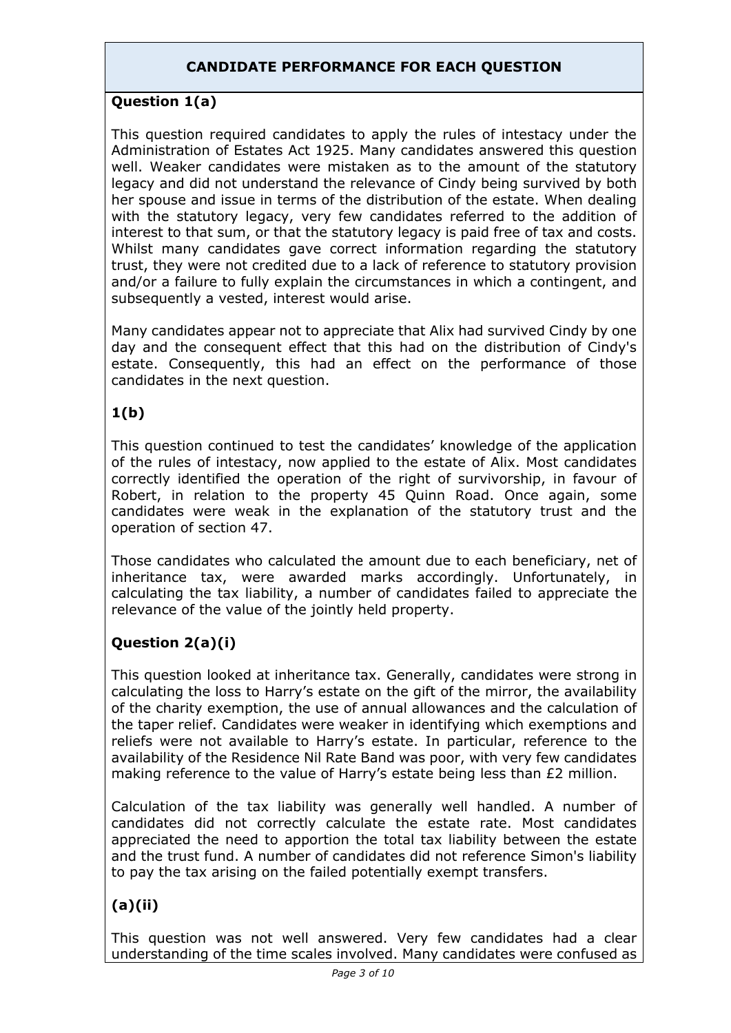### **CANDIDATE PERFORMANCE FOR EACH QUESTION**

### **Question 1(a)**

This question required candidates to apply the rules of intestacy under the Administration of Estates Act 1925. Many candidates answered this question well. Weaker candidates were mistaken as to the amount of the statutory legacy and did not understand the relevance of Cindy being survived by both her spouse and issue in terms of the distribution of the estate. When dealing with the statutory legacy, very few candidates referred to the addition of interest to that sum, or that the statutory legacy is paid free of tax and costs. Whilst many candidates gave correct information regarding the statutory trust, they were not credited due to a lack of reference to statutory provision and/or a failure to fully explain the circumstances in which a contingent, and subsequently a vested, interest would arise.

Many candidates appear not to appreciate that Alix had survived Cindy by one day and the consequent effect that this had on the distribution of Cindy's estate. Consequently, this had an effect on the performance of those candidates in the next question.

### **1(b)**

This question continued to test the candidates' knowledge of the application of the rules of intestacy, now applied to the estate of Alix. Most candidates correctly identified the operation of the right of survivorship, in favour of Robert, in relation to the property 45 Quinn Road. Once again, some candidates were weak in the explanation of the statutory trust and the operation of section 47.

Those candidates who calculated the amount due to each beneficiary, net of inheritance tax, were awarded marks accordingly. Unfortunately, in calculating the tax liability, a number of candidates failed to appreciate the relevance of the value of the jointly held property.

### **Question 2(a)(i)**

This question looked at inheritance tax. Generally, candidates were strong in calculating the loss to Harry's estate on the gift of the mirror, the availability of the charity exemption, the use of annual allowances and the calculation of the taper relief. Candidates were weaker in identifying which exemptions and reliefs were not available to Harry's estate. In particular, reference to the availability of the Residence Nil Rate Band was poor, with very few candidates making reference to the value of Harry's estate being less than £2 million.

Calculation of the tax liability was generally well handled. A number of candidates did not correctly calculate the estate rate. Most candidates appreciated the need to apportion the total tax liability between the estate and the trust fund. A number of candidates did not reference Simon's liability to pay the tax arising on the failed potentially exempt transfers.

# **(a)(ii)**

This question was not well answered. Very few candidates had a clear understanding of the time scales involved. Many candidates were confused as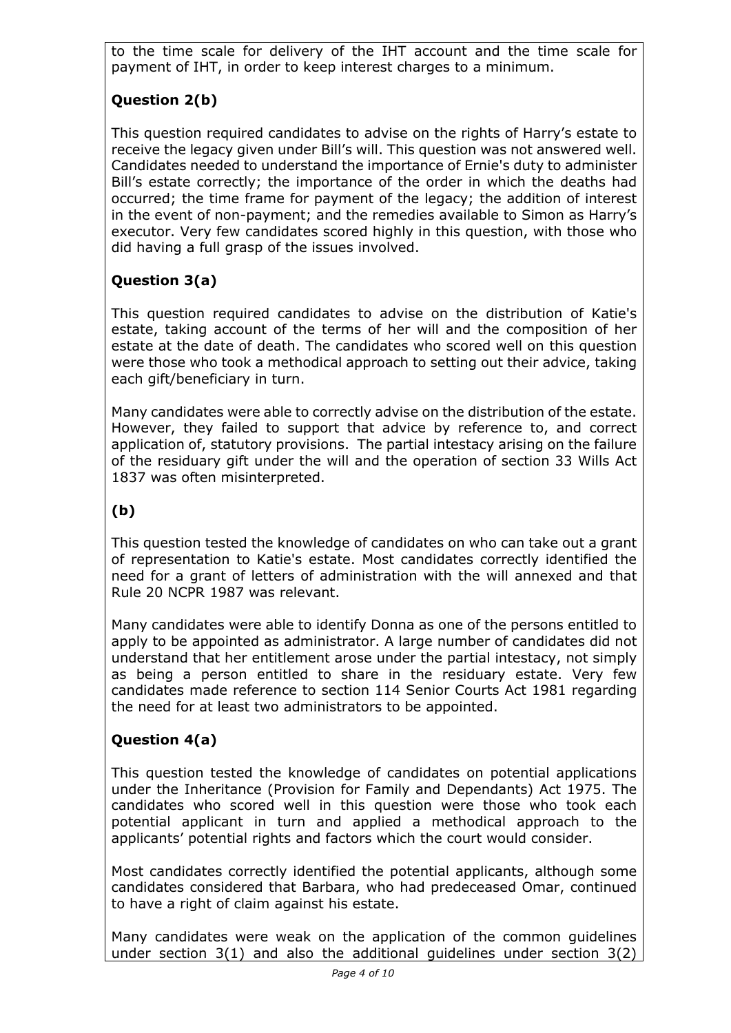to the time scale for delivery of the IHT account and the time scale for payment of IHT, in order to keep interest charges to a minimum.

# **Question 2(b)**

This question required candidates to advise on the rights of Harry's estate to receive the legacy given under Bill's will. This question was not answered well. Candidates needed to understand the importance of Ernie's duty to administer Bill's estate correctly; the importance of the order in which the deaths had occurred; the time frame for payment of the legacy; the addition of interest in the event of non-payment; and the remedies available to Simon as Harry's executor. Very few candidates scored highly in this question, with those who did having a full grasp of the issues involved.

# **Question 3(a)**

This question required candidates to advise on the distribution of Katie's estate, taking account of the terms of her will and the composition of her estate at the date of death. The candidates who scored well on this question were those who took a methodical approach to setting out their advice, taking each gift/beneficiary in turn.

Many candidates were able to correctly advise on the distribution of the estate. However, they failed to support that advice by reference to, and correct application of, statutory provisions. The partial intestacy arising on the failure of the residuary gift under the will and the operation of section 33 Wills Act 1837 was often misinterpreted.

# **(b)**

This question tested the knowledge of candidates on who can take out a grant of representation to Katie's estate. Most candidates correctly identified the need for a grant of letters of administration with the will annexed and that Rule 20 NCPR 1987 was relevant.

Many candidates were able to identify Donna as one of the persons entitled to apply to be appointed as administrator. A large number of candidates did not understand that her entitlement arose under the partial intestacy, not simply as being a person entitled to share in the residuary estate. Very few candidates made reference to section 114 Senior Courts Act 1981 regarding the need for at least two administrators to be appointed.

### **Question 4(a)**

This question tested the knowledge of candidates on potential applications under the Inheritance (Provision for Family and Dependants) Act 1975. The candidates who scored well in this question were those who took each potential applicant in turn and applied a methodical approach to the applicants' potential rights and factors which the court would consider.

Most candidates correctly identified the potential applicants, although some candidates considered that Barbara, who had predeceased Omar, continued to have a right of claim against his estate.

Many candidates were weak on the application of the common guidelines under section 3(1) and also the additional guidelines under section 3(2)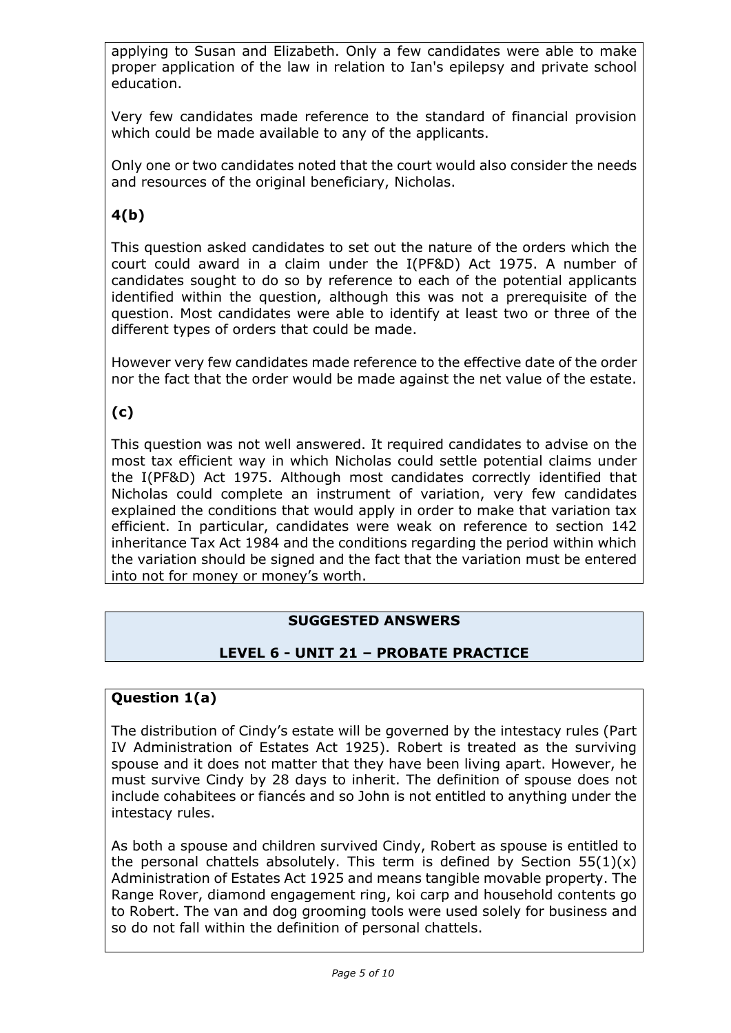applying to Susan and Elizabeth. Only a few candidates were able to make proper application of the law in relation to Ian's epilepsy and private school education.

Very few candidates made reference to the standard of financial provision which could be made available to any of the applicants.

Only one or two candidates noted that the court would also consider the needs and resources of the original beneficiary, Nicholas.

# **4(b)**

This question asked candidates to set out the nature of the orders which the court could award in a claim under the I(PF&D) Act 1975. A number of candidates sought to do so by reference to each of the potential applicants identified within the question, although this was not a prerequisite of the question. Most candidates were able to identify at least two or three of the different types of orders that could be made.

However very few candidates made reference to the effective date of the order nor the fact that the order would be made against the net value of the estate.

### **(c)**

This question was not well answered. It required candidates to advise on the most tax efficient way in which Nicholas could settle potential claims under the I(PF&D) Act 1975. Although most candidates correctly identified that Nicholas could complete an instrument of variation, very few candidates explained the conditions that would apply in order to make that variation tax efficient. In particular, candidates were weak on reference to section 142 inheritance Tax Act 1984 and the conditions regarding the period within which the variation should be signed and the fact that the variation must be entered into not for money or money's worth.

### **SUGGESTED ANSWERS**

### **LEVEL 6 - UNIT 21 – PROBATE PRACTICE**

#### **Question 1(a)**

The distribution of Cindy's estate will be governed by the intestacy rules (Part IV Administration of Estates Act 1925). Robert is treated as the surviving spouse and it does not matter that they have been living apart. However, he must survive Cindy by 28 days to inherit. The definition of spouse does not include cohabitees or fiancés and so John is not entitled to anything under the intestacy rules.

As both a spouse and children survived Cindy, Robert as spouse is entitled to the personal chattels absolutely. This term is defined by Section  $55(1)(x)$ Administration of Estates Act 1925 and means tangible movable property. The Range Rover, diamond engagement ring, koi carp and household contents go to Robert. The van and dog grooming tools were used solely for business and so do not fall within the definition of personal chattels.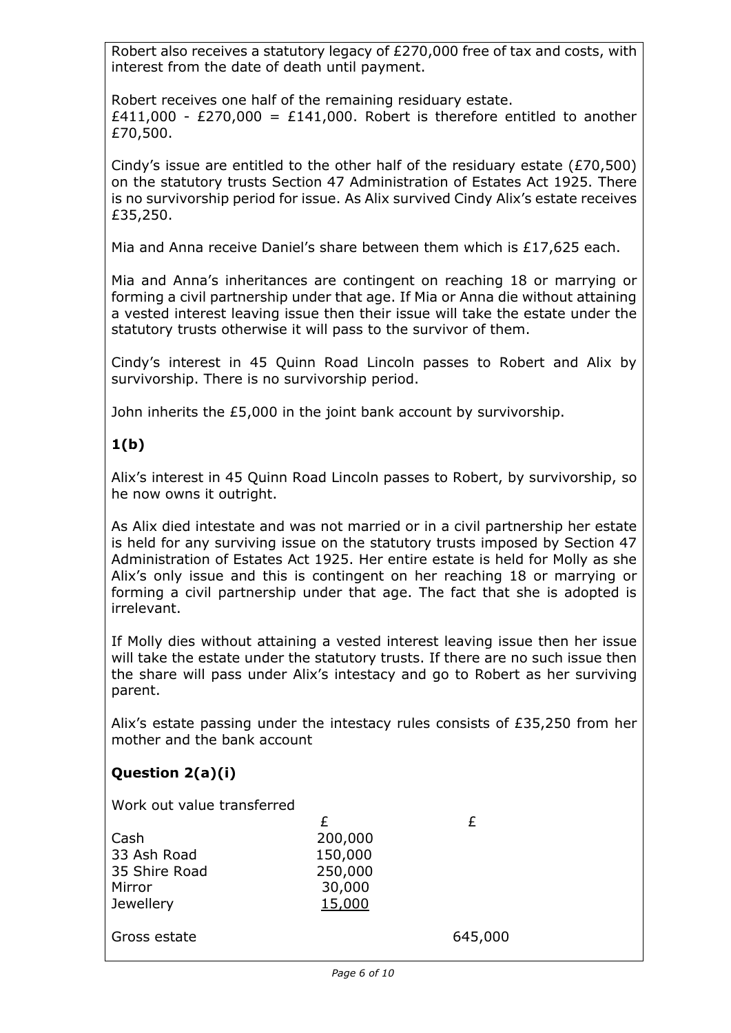Robert also receives a statutory legacy of £270,000 free of tax and costs, with interest from the date of death until payment.

Robert receives one half of the remaining residuary estate. £411,000 - £270,000 = £141,000. Robert is therefore entitled to another £70,500.

Cindy's issue are entitled to the other half of the residuary estate (£70,500) on the statutory trusts Section 47 Administration of Estates Act 1925. There is no survivorship period for issue. As Alix survived Cindy Alix's estate receives £35,250.

Mia and Anna receive Daniel's share between them which is £17,625 each.

Mia and Anna's inheritances are contingent on reaching 18 or marrying or forming a civil partnership under that age. If Mia or Anna die without attaining a vested interest leaving issue then their issue will take the estate under the statutory trusts otherwise it will pass to the survivor of them.

Cindy's interest in 45 Quinn Road Lincoln passes to Robert and Alix by survivorship. There is no survivorship period.

John inherits the £5,000 in the joint bank account by survivorship.

### **1(b)**

Alix's interest in 45 Quinn Road Lincoln passes to Robert, by survivorship, so he now owns it outright.

As Alix died intestate and was not married or in a civil partnership her estate is held for any surviving issue on the statutory trusts imposed by Section 47 Administration of Estates Act 1925. Her entire estate is held for Molly as she Alix's only issue and this is contingent on her reaching 18 or marrying or forming a civil partnership under that age. The fact that she is adopted is irrelevant.

If Molly dies without attaining a vested interest leaving issue then her issue will take the estate under the statutory trusts. If there are no such issue then the share will pass under Alix's intestacy and go to Robert as her surviving parent.

Alix's estate passing under the intestacy rules consists of £35,250 from her mother and the bank account

### **Question 2(a)(i)**

Work out value transferred

| Cash          | 200,000 |     |
|---------------|---------|-----|
| 33 Ash Road   | 150,000 |     |
| 35 Shire Road | 250,000 |     |
| Mirror        | 30,000  |     |
| Jewellery     | 15,000  |     |
| Gross estate  |         | 645 |
|               |         |     |

645,000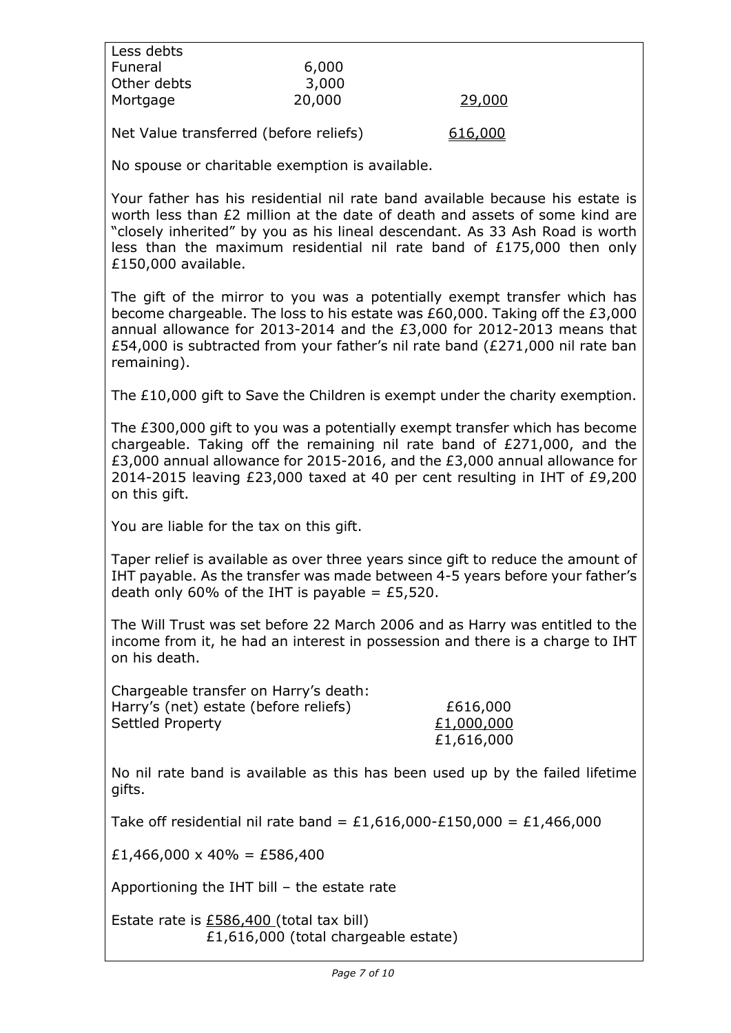| Less debts                                                                                                                                                                                                                                                                                                                                     |        |                                      |  |  |
|------------------------------------------------------------------------------------------------------------------------------------------------------------------------------------------------------------------------------------------------------------------------------------------------------------------------------------------------|--------|--------------------------------------|--|--|
| Funeral                                                                                                                                                                                                                                                                                                                                        | 6,000  |                                      |  |  |
| Other debts                                                                                                                                                                                                                                                                                                                                    | 3,000  |                                      |  |  |
| Mortgage                                                                                                                                                                                                                                                                                                                                       | 20,000 | 29,000                               |  |  |
| Net Value transferred (before reliefs)                                                                                                                                                                                                                                                                                                         |        | 616,000                              |  |  |
| No spouse or charitable exemption is available.                                                                                                                                                                                                                                                                                                |        |                                      |  |  |
| Your father has his residential nil rate band available because his estate is<br>worth less than £2 million at the date of death and assets of some kind are<br>"closely inherited" by you as his lineal descendant. As 33 Ash Road is worth<br>less than the maximum residential nil rate band of $£175,000$ then only<br>£150,000 available. |        |                                      |  |  |
| The gift of the mirror to you was a potentially exempt transfer which has<br>become chargeable. The loss to his estate was £60,000. Taking off the £3,000<br>annual allowance for 2013-2014 and the £3,000 for 2012-2013 means that<br>£54,000 is subtracted from your father's nil rate band (£271,000 nil rate ban<br>remaining).            |        |                                      |  |  |
| The £10,000 gift to Save the Children is exempt under the charity exemption.                                                                                                                                                                                                                                                                   |        |                                      |  |  |
| The £300,000 gift to you was a potentially exempt transfer which has become<br>chargeable. Taking off the remaining nil rate band of £271,000, and the<br>£3,000 annual allowance for 2015-2016, and the £3,000 annual allowance for<br>2014-2015 leaving £23,000 taxed at 40 per cent resulting in IHT of £9,200<br>on this gift.             |        |                                      |  |  |
| You are liable for the tax on this gift.                                                                                                                                                                                                                                                                                                       |        |                                      |  |  |
| Taper relief is available as over three years since gift to reduce the amount of<br>IHT payable. As the transfer was made between 4-5 years before your father's<br>death only 60% of the IHT is payable = £5,520.                                                                                                                             |        |                                      |  |  |
| The Will Trust was set before 22 March 2006 and as Harry was entitled to the<br>income from it, he had an interest in possession and there is a charge to IHT<br>on his death.                                                                                                                                                                 |        |                                      |  |  |
| Chargeable transfer on Harry's death:<br>Harry's (net) estate (before reliefs)<br>Settled Property                                                                                                                                                                                                                                             |        | £616,000<br>£1,000,000<br>£1,616,000 |  |  |
| No nil rate band is available as this has been used up by the failed lifetime<br>gifts.                                                                                                                                                                                                                                                        |        |                                      |  |  |
| Take off residential nil rate band = £1,616,000-£150,000 = £1,466,000                                                                                                                                                                                                                                                                          |        |                                      |  |  |
| £1,466,000 x 40% = £586,400                                                                                                                                                                                                                                                                                                                    |        |                                      |  |  |
| Apportioning the IHT bill $-$ the estate rate                                                                                                                                                                                                                                                                                                  |        |                                      |  |  |
| Estate rate is £586,400 (total tax bill)<br>£1,616,000 (total chargeable estate)                                                                                                                                                                                                                                                               |        |                                      |  |  |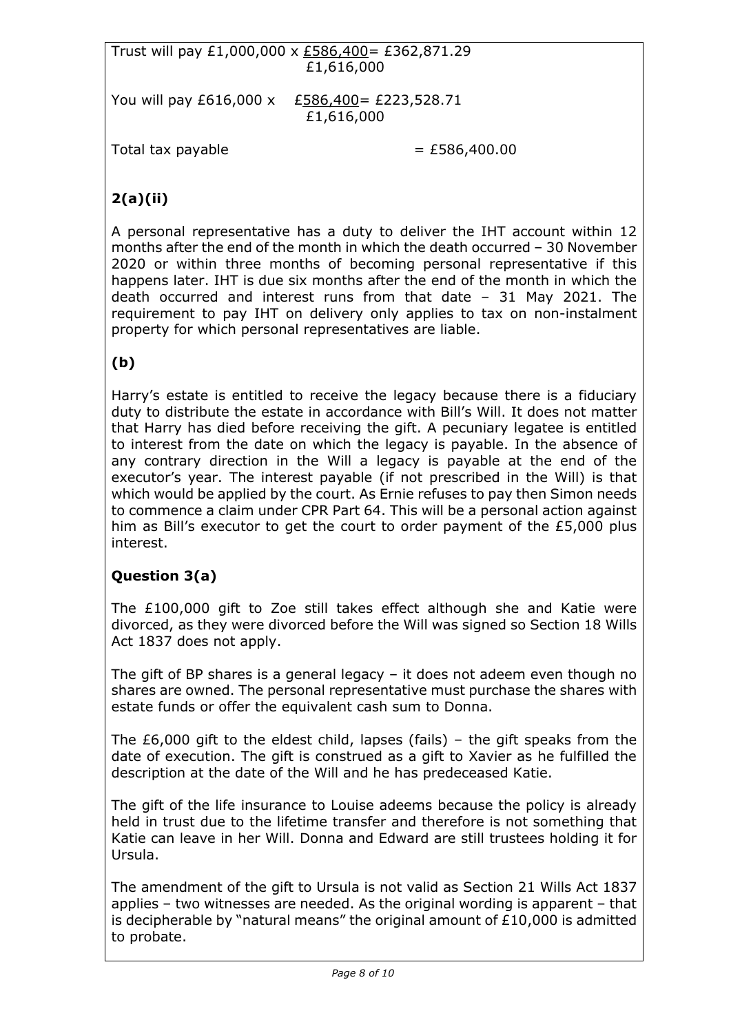Trust will pay £1,000,000 x £586,400= £362,871.29 £1,616,000

You will pay £616,000 x £586,400= £223,528.71 £1,616,000

Total tax payable  $=$  £586,400.00

# **2(a)(ii)**

A personal representative has a duty to deliver the IHT account within 12 months after the end of the month in which the death occurred – 30 November 2020 or within three months of becoming personal representative if this happens later. IHT is due six months after the end of the month in which the death occurred and interest runs from that date – 31 May 2021. The requirement to pay IHT on delivery only applies to tax on non-instalment property for which personal representatives are liable.

# **(b)**

Harry's estate is entitled to receive the legacy because there is a fiduciary duty to distribute the estate in accordance with Bill's Will. It does not matter that Harry has died before receiving the gift. A pecuniary legatee is entitled to interest from the date on which the legacy is payable. In the absence of any contrary direction in the Will a legacy is payable at the end of the executor's year. The interest payable (if not prescribed in the Will) is that which would be applied by the court. As Ernie refuses to pay then Simon needs to commence a claim under CPR Part 64. This will be a personal action against him as Bill's executor to get the court to order payment of the £5,000 plus interest.

# **Question 3(a)**

The £100,000 gift to Zoe still takes effect although she and Katie were divorced, as they were divorced before the Will was signed so Section 18 Wills Act 1837 does not apply.

The gift of BP shares is a general legacy – it does not adeem even though no shares are owned. The personal representative must purchase the shares with estate funds or offer the equivalent cash sum to Donna.

The  $£6,000$  gift to the eldest child, lapses (fails) – the gift speaks from the date of execution. The gift is construed as a gift to Xavier as he fulfilled the description at the date of the Will and he has predeceased Katie.

The gift of the life insurance to Louise adeems because the policy is already held in trust due to the lifetime transfer and therefore is not something that Katie can leave in her Will. Donna and Edward are still trustees holding it for Ursula.

The amendment of the gift to Ursula is not valid as Section 21 Wills Act 1837 applies – two witnesses are needed. As the original wording is apparent – that is decipherable by "natural means" the original amount of £10,000 is admitted to probate.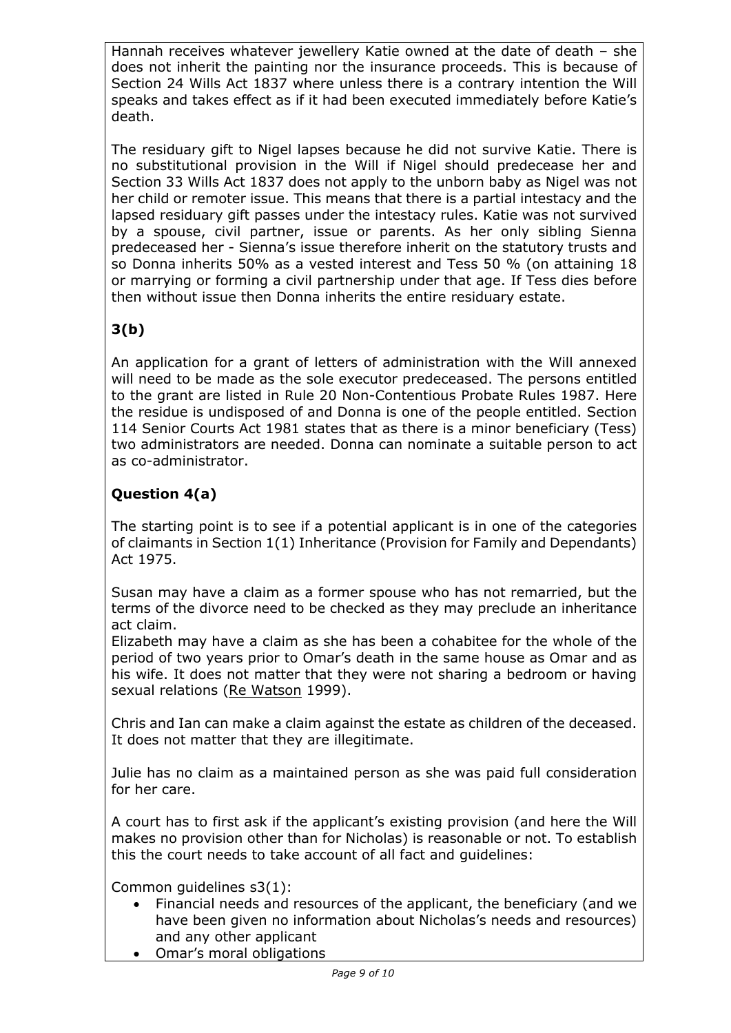Hannah receives whatever jewellery Katie owned at the date of death – she does not inherit the painting nor the insurance proceeds. This is because of Section 24 Wills Act 1837 where unless there is a contrary intention the Will speaks and takes effect as if it had been executed immediately before Katie's death.

The residuary gift to Nigel lapses because he did not survive Katie. There is no substitutional provision in the Will if Nigel should predecease her and Section 33 Wills Act 1837 does not apply to the unborn baby as Nigel was not her child or remoter issue. This means that there is a partial intestacy and the lapsed residuary gift passes under the intestacy rules. Katie was not survived by a spouse, civil partner, issue or parents. As her only sibling Sienna predeceased her - Sienna's issue therefore inherit on the statutory trusts and so Donna inherits 50% as a vested interest and Tess 50 % (on attaining 18 or marrying or forming a civil partnership under that age. If Tess dies before then without issue then Donna inherits the entire residuary estate.

# **3(b)**

An application for a grant of letters of administration with the Will annexed will need to be made as the sole executor predeceased. The persons entitled to the grant are listed in Rule 20 Non-Contentious Probate Rules 1987. Here the residue is undisposed of and Donna is one of the people entitled. Section 114 Senior Courts Act 1981 states that as there is a minor beneficiary (Tess) two administrators are needed. Donna can nominate a suitable person to act as co-administrator.

# **Question 4(a)**

The starting point is to see if a potential applicant is in one of the categories of claimants in Section 1(1) Inheritance (Provision for Family and Dependants) Act 1975.

Susan may have a claim as a former spouse who has not remarried, but the terms of the divorce need to be checked as they may preclude an inheritance act claim.

Elizabeth may have a claim as she has been a cohabitee for the whole of the period of two years prior to Omar's death in the same house as Omar and as his wife. It does not matter that they were not sharing a bedroom or having sexual relations (Re Watson 1999).

Chris and Ian can make a claim against the estate as children of the deceased. It does not matter that they are illegitimate.

Julie has no claim as a maintained person as she was paid full consideration for her care.

A court has to first ask if the applicant's existing provision (and here the Will makes no provision other than for Nicholas) is reasonable or not. To establish this the court needs to take account of all fact and guidelines:

Common guidelines s3(1):

- Financial needs and resources of the applicant, the beneficiary (and we have been given no information about Nicholas's needs and resources) and any other applicant
- Omar's moral obligations